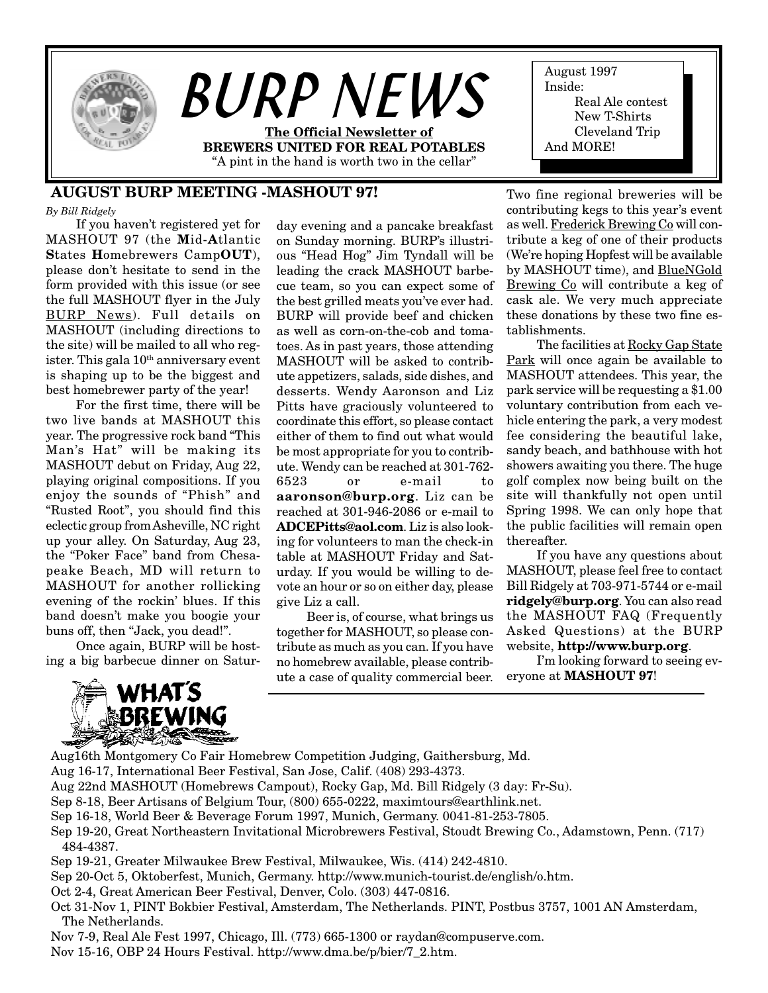

# **AUGUST BURP MEETING -MASHOUT 97!**

*By Bill Ridgely*

If you haven't registered yet for MASHOUT 97 (the **M**id-**A**tlantic **S**tates **H**omebrewers Camp**OUT**), please don't hesitate to send in the form provided with this issue (or see the full MASHOUT flyer in the July BURP News). Full details on MASHOUT (including directions to the site) will be mailed to all who register. This gala  $10<sup>th</sup>$  anniversary event is shaping up to be the biggest and best homebrewer party of the year!

For the first time, there will be two live bands at MASHOUT this year. The progressive rock band "This Man's Hat" will be making its MASHOUT debut on Friday, Aug 22, playing original compositions. If you enjoy the sounds of "Phish" and "Rusted Root", you should find this eclectic group from Asheville, NC right up your alley. On Saturday, Aug 23, the "Poker Face" band from Chesapeake Beach, MD will return to MASHOUT for another rollicking evening of the rockin' blues. If this band doesn't make you boogie your buns off, then "Jack, you dead!".

Once again, BURP will be hosting a big barbecue dinner on Satur-



day evening and a pancake breakfast on Sunday morning. BURP's illustrious "Head Hog" Jim Tyndall will be leading the crack MASHOUT barbecue team, so you can expect some of the best grilled meats you've ever had. BURP will provide beef and chicken as well as corn-on-the-cob and tomatoes. As in past years, those attending MASHOUT will be asked to contribute appetizers, salads, side dishes, and desserts. Wendy Aaronson and Liz Pitts have graciously volunteered to coordinate this effort, so please contact either of them to find out what would be most appropriate for you to contribute. Wendy can be reached at 301-762- 6523 or e-mail to **aaronson@burp.org**. Liz can be reached at 301-946-2086 or e-mail to **ADCEPitts@aol.com**. Liz is also looking for volunteers to man the check-in table at MASHOUT Friday and Saturday. If you would be willing to devote an hour or so on either day, please give Liz a call.

Beer is, of course, what brings us together for MASHOUT, so please contribute as much as you can. If you have no homebrew available, please contribute a case of quality commercial beer. Two fine regional breweries will be contributing kegs to this year's event as well. Frederick Brewing Co will contribute a keg of one of their products (We're hoping Hopfest will be available by MASHOUT time), and BlueNGold Brewing Co will contribute a keg of cask ale. We very much appreciate these donations by these two fine establishments.

The facilities at Rocky Gap State Park will once again be available to MASHOUT attendees. This year, the park service will be requesting a \$1.00 voluntary contribution from each vehicle entering the park, a very modest fee considering the beautiful lake, sandy beach, and bathhouse with hot showers awaiting you there. The huge golf complex now being built on the site will thankfully not open until Spring 1998. We can only hope that the public facilities will remain open thereafter.

If you have any questions about MASHOUT, please feel free to contact Bill Ridgely at 703-971-5744 or e-mail **ridgely@burp.org**. You can also read the MASHOUT FAQ (Frequently Asked Questions) at the BURP website, **http://www.burp.org**.

I'm looking forward to seeing everyone at **MASHOUT 97**!

Aug16th Montgomery Co Fair Homebrew Competition Judging, Gaithersburg, Md. Aug 16-17, International Beer Festival, San Jose, Calif. (408) 293-4373. Aug 22nd MASHOUT (Homebrews Campout), Rocky Gap, Md. Bill Ridgely (3 day: Fr-Su). Sep 8-18, Beer Artisans of Belgium Tour, (800) 655-0222, maximtours@earthlink.net. Sep 16-18, World Beer & Beverage Forum 1997, Munich, Germany. 0041-81-253-7805. Sep 19-20, Great Northeastern Invitational Microbrewers Festival, Stoudt Brewing Co., Adamstown, Penn. (717) 484-4387. Sep 19-21, Greater Milwaukee Brew Festival, Milwaukee, Wis. (414) 242-4810. Sep 20-Oct 5, Oktoberfest, Munich, Germany. http://www.munich-tourist.de/english/o.htm. Oct 2-4, Great American Beer Festival, Denver, Colo. (303) 447-0816. Oct 31-Nov 1, PINT Bokbier Festival, Amsterdam, The Netherlands. PINT, Postbus 3757, 1001 AN Amsterdam, The Netherlands.

Nov 7-9, Real Ale Fest 1997, Chicago, Ill. (773) 665-1300 or raydan@compuserve.com.

Nov 15-16, OBP 24 Hours Festival. http://www.dma.be/p/bier/7\_2.htm.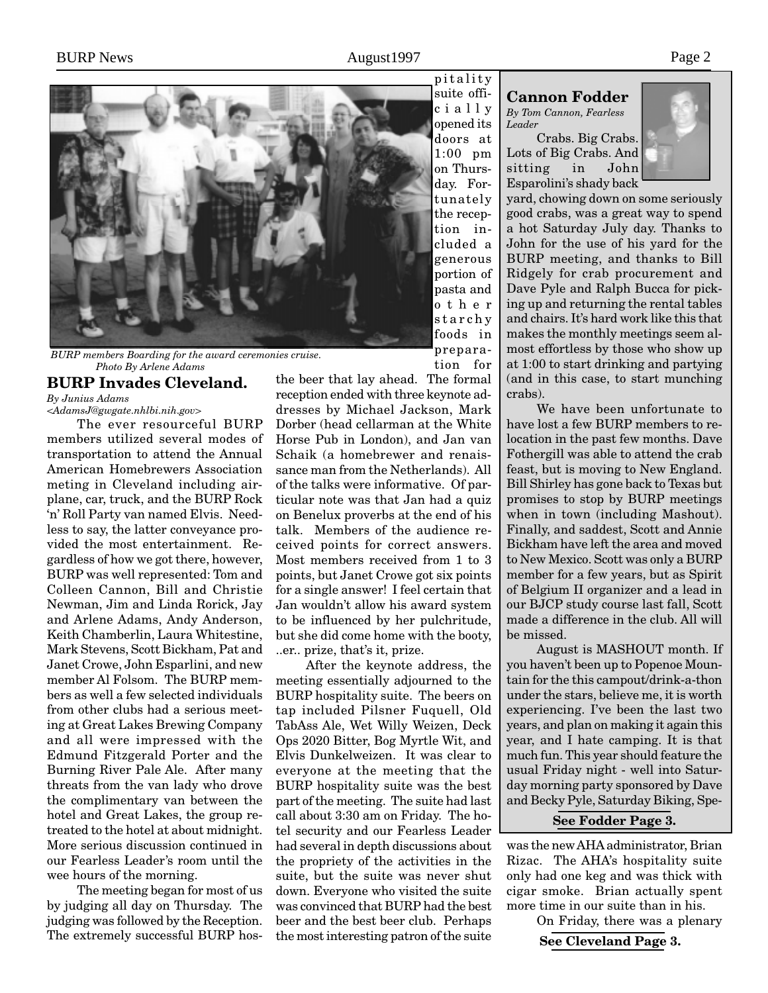

*BURP members Boarding for the award ceremonies cruise. Photo By Arlene Adams*

# **BURP Invades Cleveland.**

*By Junius Adams*

*<AdamsJ@gwgate.nhlbi.nih.gov>*

The ever resourceful BURP members utilized several modes of transportation to attend the Annual American Homebrewers Association meting in Cleveland including airplane, car, truck, and the BURP Rock 'n' Roll Party van named Elvis. Needless to say, the latter conveyance provided the most entertainment. Regardless of how we got there, however, BURP was well represented: Tom and Colleen Cannon, Bill and Christie Newman, Jim and Linda Rorick, Jay and Arlene Adams, Andy Anderson, Keith Chamberlin, Laura Whitestine, Mark Stevens, Scott Bickham, Pat and Janet Crowe, John Esparlini, and new member Al Folsom. The BURP members as well a few selected individuals from other clubs had a serious meeting at Great Lakes Brewing Company and all were impressed with the Edmund Fitzgerald Porter and the Burning River Pale Ale. After many threats from the van lady who drove the complimentary van between the hotel and Great Lakes, the group retreated to the hotel at about midnight. More serious discussion continued in our Fearless Leader's room until the wee hours of the morning.

The meeting began for most of us by judging all day on Thursday. The judging was followed by the Reception. The extremely successful BURP hos-

tion for the beer that lay ahead. The formal reception ended with three keynote addresses by Michael Jackson, Mark Dorber (head cellarman at the White Horse Pub in London), and Jan van Schaik (a homebrewer and renaissance man from the Netherlands). All of the talks were informative. Of particular note was that Jan had a quiz on Benelux proverbs at the end of his talk. Members of the audience received points for correct answers. Most members received from 1 to 3 points, but Janet Crowe got six points for a single answer! I feel certain that Jan wouldn't allow his award system to be influenced by her pulchritude, but she did come home with the booty, ..er.. prize, that's it, prize.

After the keynote address, the meeting essentially adjourned to the BURP hospitality suite. The beers on tap included Pilsner Fuquell, Old TabAss Ale, Wet Willy Weizen, Deck Ops 2020 Bitter, Bog Myrtle Wit, and Elvis Dunkelweizen. It was clear to everyone at the meeting that the BURP hospitality suite was the best part of the meeting. The suite had last call about 3:30 am on Friday. The hotel security and our Fearless Leader had several in depth discussions about the propriety of the activities in the suite, but the suite was never shut down. Everyone who visited the suite was convinced that BURP had the best beer and the best beer club. Perhaps the most interesting patron of the suite **See Cleveland Page 3.**

#### **Cannon Fodder** *By Tom Cannon, Fearless Leader*

Crabs. Big Crabs. Lots of Big Crabs. And sitting in John Esparolini's shady back



yard, chowing down on some seriously good crabs, was a great way to spend a hot Saturday July day. Thanks to John for the use of his yard for the BURP meeting, and thanks to Bill Ridgely for crab procurement and Dave Pyle and Ralph Bucca for picking up and returning the rental tables and chairs. It's hard work like this that makes the monthly meetings seem almost effortless by those who show up at 1:00 to start drinking and partying (and in this case, to start munching crabs).

We have been unfortunate to have lost a few BURP members to relocation in the past few months. Dave Fothergill was able to attend the crab feast, but is moving to New England. Bill Shirley has gone back to Texas but promises to stop by BURP meetings when in town (including Mashout). Finally, and saddest, Scott and Annie Bickham have left the area and moved to New Mexico. Scott was only a BURP member for a few years, but as Spirit of Belgium II organizer and a lead in our BJCP study course last fall, Scott made a difference in the club. All will be missed.

August is MASHOUT month. If you haven't been up to Popenoe Mountain for the this campout/drink-a-thon under the stars, believe me, it is worth experiencing. I've been the last two years, and plan on making it again this year, and I hate camping. It is that much fun. This year should feature the usual Friday night - well into Saturday morning party sponsored by Dave and Becky Pyle, Saturday Biking, Spe-

#### **See Fodder Page 3.**

was the new AHA administrator, Brian Rizac. The AHA's hospitality suite only had one keg and was thick with cigar smoke. Brian actually spent more time in our suite than in his.

On Friday, there was a plenary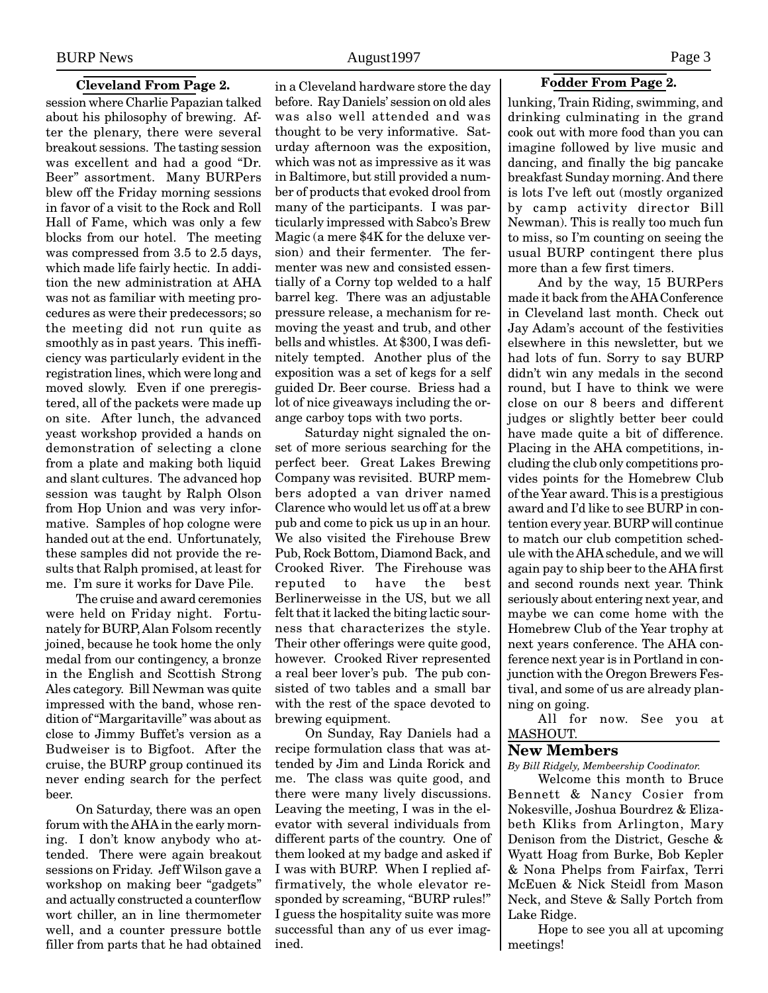#### **Cleveland From Page 2.**

session where Charlie Papazian talked about his philosophy of brewing. After the plenary, there were several breakout sessions. The tasting session was excellent and had a good "Dr. Beer" assortment. Many BURPers blew off the Friday morning sessions in favor of a visit to the Rock and Roll Hall of Fame, which was only a few blocks from our hotel. The meeting was compressed from 3.5 to 2.5 days, which made life fairly hectic. In addition the new administration at AHA was not as familiar with meeting procedures as were their predecessors; so the meeting did not run quite as smoothly as in past years. This inefficiency was particularly evident in the registration lines, which were long and moved slowly. Even if one preregistered, all of the packets were made up on site. After lunch, the advanced yeast workshop provided a hands on demonstration of selecting a clone from a plate and making both liquid and slant cultures. The advanced hop session was taught by Ralph Olson from Hop Union and was very informative. Samples of hop cologne were handed out at the end. Unfortunately, these samples did not provide the results that Ralph promised, at least for me. I'm sure it works for Dave Pile.

The cruise and award ceremonies were held on Friday night. Fortunately for BURP, Alan Folsom recently joined, because he took home the only medal from our contingency, a bronze in the English and Scottish Strong Ales category. Bill Newman was quite impressed with the band, whose rendition of "Margaritaville" was about as close to Jimmy Buffet's version as a Budweiser is to Bigfoot. After the cruise, the BURP group continued its never ending search for the perfect beer.

On Saturday, there was an open forum with the AHA in the early morning. I don't know anybody who attended. There were again breakout sessions on Friday. Jeff Wilson gave a workshop on making beer "gadgets" and actually constructed a counterflow wort chiller, an in line thermometer well, and a counter pressure bottle filler from parts that he had obtained

in a Cleveland hardware store the day before. Ray Daniels' session on old ales was also well attended and was thought to be very informative. Saturday afternoon was the exposition, which was not as impressive as it was in Baltimore, but still provided a number of products that evoked drool from many of the participants. I was particularly impressed with Sabco's Brew Magic (a mere \$4K for the deluxe version) and their fermenter. The fermenter was new and consisted essentially of a Corny top welded to a half barrel keg. There was an adjustable pressure release, a mechanism for removing the yeast and trub, and other bells and whistles. At \$300, I was definitely tempted. Another plus of the exposition was a set of kegs for a self guided Dr. Beer course. Briess had a lot of nice giveaways including the orange carboy tops with two ports.

Saturday night signaled the onset of more serious searching for the perfect beer. Great Lakes Brewing Company was revisited. BURP members adopted a van driver named Clarence who would let us off at a brew pub and come to pick us up in an hour. We also visited the Firehouse Brew Pub, Rock Bottom, Diamond Back, and Crooked River. The Firehouse was reputed to have the best Berlinerweisse in the US, but we all felt that it lacked the biting lactic sourness that characterizes the style. Their other offerings were quite good, however. Crooked River represented a real beer lover's pub. The pub consisted of two tables and a small bar with the rest of the space devoted to brewing equipment.

On Sunday, Ray Daniels had a recipe formulation class that was attended by Jim and Linda Rorick and me. The class was quite good, and there were many lively discussions. Leaving the meeting, I was in the elevator with several individuals from different parts of the country. One of them looked at my badge and asked if I was with BURP. When I replied affirmatively, the whole elevator responded by screaming, "BURP rules!" I guess the hospitality suite was more successful than any of us ever imagined.

lunking, Train Riding, swimming, and drinking culminating in the grand cook out with more food than you can imagine followed by live music and dancing, and finally the big pancake breakfast Sunday morning. And there is lots I've left out (mostly organized by camp activity director Bill Newman). This is really too much fun to miss, so I'm counting on seeing the usual BURP contingent there plus more than a few first timers.

And by the way, 15 BURPers made it back from the AHA Conference in Cleveland last month. Check out Jay Adam's account of the festivities elsewhere in this newsletter, but we had lots of fun. Sorry to say BURP didn't win any medals in the second round, but I have to think we were close on our 8 beers and different judges or slightly better beer could have made quite a bit of difference. Placing in the AHA competitions, including the club only competitions provides points for the Homebrew Club of the Year award. This is a prestigious award and I'd like to see BURP in contention every year. BURP will continue to match our club competition schedule with the AHA schedule, and we will again pay to ship beer to the AHA first and second rounds next year. Think seriously about entering next year, and maybe we can come home with the Homebrew Club of the Year trophy at next years conference. The AHA conference next year is in Portland in conjunction with the Oregon Brewers Festival, and some of us are already planning on going.

All for now. See you at MASHOUT.

### **New Members**

*By Bill Ridgely, Membeership Coodinator.*

Welcome this month to Bruce Bennett & Nancy Cosier from Nokesville, Joshua Bourdrez & Elizabeth Kliks from Arlington, Mary Denison from the District, Gesche & Wyatt Hoag from Burke, Bob Kepler & Nona Phelps from Fairfax, Terri McEuen & Nick Steidl from Mason Neck, and Steve & Sally Portch from Lake Ridge.

Hope to see you all at upcoming meetings!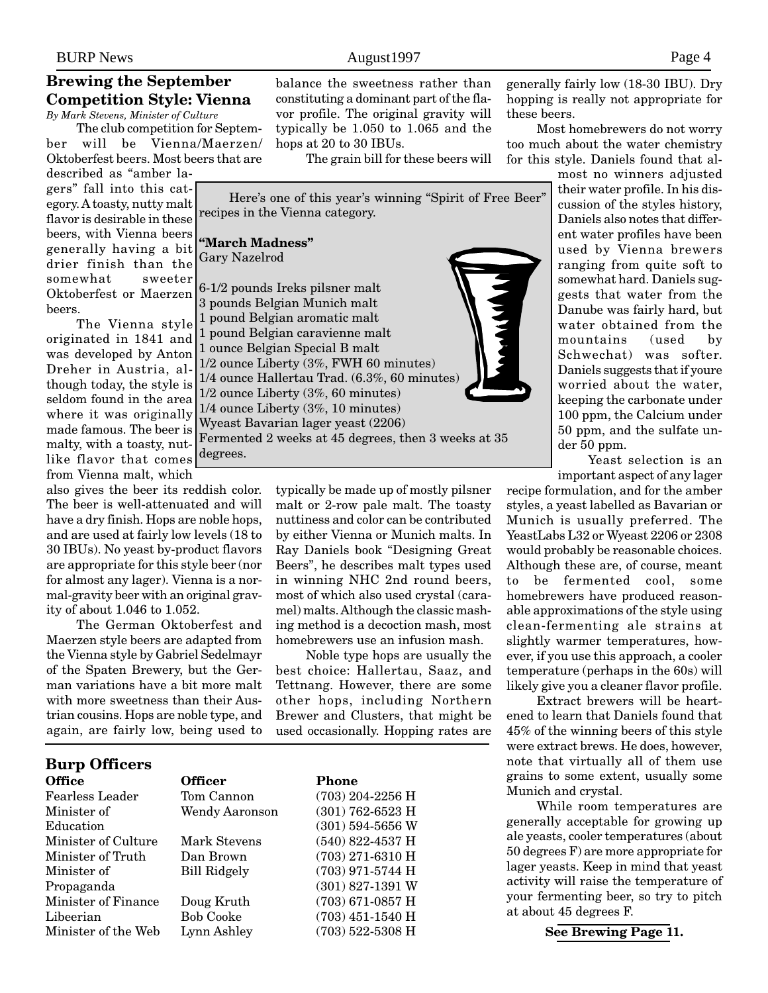#### **Brewing the September Competition Style: Vienna** *By Mark Stevens, Minister of Culture*

The club competition for Septem-

ber will be Vienna/Maerzen/ Oktoberfest beers. Most beers that are

described as "amber lagers" fall into this category. A toasty, nutty malt flavor is desirable in these beers, with Vienna beers somewhat sweeter beers.

The Vienna style originated in 1841 and was developed by Anton Dreher in Austria, although today, the style is seldom found in the area where it was originally made famous. The beer is malty, with a toasty, nutlike flavor that comes from Vienna malt, which

also gives the beer its reddish color. The beer is well-attenuated and will have a dry finish. Hops are noble hops, and are used at fairly low levels (18 to 30 IBUs). No yeast by-product flavors are appropriate for this style beer (nor for almost any lager). Vienna is a normal-gravity beer with an original gravity of about 1.046 to 1.052.

The German Oktoberfest and Maerzen style beers are adapted from the Vienna style by Gabriel Sedelmayr of the Spaten Brewery, but the German variations have a bit more malt with more sweetness than their Austrian cousins. Hops are noble type, and again, are fairly low, being used to

typically be made up of mostly pilsner malt or 2-row pale malt. The toasty nuttiness and color can be contributed by either Vienna or Munich malts. In Ray Daniels book "Designing Great Beers", he describes malt types used in winning NHC 2nd round beers, most of which also used crystal (caramel) malts. Although the classic mashing method is a decoction mash, most homebrewers use an infusion mash.

Noble type hops are usually the best choice: Hallertau, Saaz, and Tettnang. However, there are some other hops, including Northern that might be ping rates are

| trian cousins. Hops are noble type, and<br>again, are fairly low, being used to | Brewer and Clusters, the<br>used occasionally. Hoppi |                    |  |  |  |
|---------------------------------------------------------------------------------|------------------------------------------------------|--------------------|--|--|--|
| <b>Burp Officers</b>                                                            |                                                      |                    |  |  |  |
| <b>Office</b>                                                                   | <b>Officer</b>                                       | Phone              |  |  |  |
| <b>Fearless Leader</b>                                                          | Tom Cannon                                           | (703) 204-2256 H   |  |  |  |
| Minister of                                                                     | <b>Wendy Aaronson</b>                                | $(301)$ 762-6523 H |  |  |  |
| Education                                                                       |                                                      | $(301)$ 594-5656 W |  |  |  |
| Minister of Culture                                                             | Mark Stevens                                         | $(540)$ 822-4537 H |  |  |  |
| Minister of Truth                                                               | Dan Brown                                            | $(703)$ 271-6310 H |  |  |  |

degrees.

Minister of the Web Lynn Ashley (703) 522-5308 H

Minister of Bill Ridgely (703) 971-5744 H Propaganda (301) 827-1391 W Minister of Finance Doug Kruth (703) 671-0857 H Libeerian Bob Cooke (703) 451-1540 H generally fairly low (18-30 IBU). Dry hopping is really not appropriate for these beers.

Most homebrewers do not worry too much about the water chemistry for this style. Daniels found that al-

> most no winners adjusted their water profile. In his discussion of the styles history, Daniels also notes that different water profiles have been used by Vienna brewers ranging from quite soft to somewhat hard. Daniels suggests that water from the Danube was fairly hard, but water obtained from the mountains (used by Schwechat) was softer. Daniels suggests that if youre worried about the water, keeping the carbonate under 100 ppm, the Calcium under 50 ppm, and the sulfate under 50 ppm.

Yeast selection is an important aspect of any lager

recipe formulation, and for the amber styles, a yeast labelled as Bavarian or Munich is usually preferred. The YeastLabs L32 or Wyeast 2206 or 2308 would probably be reasonable choices. Although these are, of course, meant to be fermented cool, some homebrewers have produced reasonable approximations of the style using clean-fermenting ale strains at slightly warmer temperatures, however, if you use this approach, a cooler temperature (perhaps in the 60s) will likely give you a cleaner flavor profile.

Extract brewers will be heartened to learn that Daniels found that 45% of the winning beers of this style were extract brews. He does, however, note that virtually all of them use grains to some extent, usually some Munich and crystal.

While room temperatures are generally acceptable for growing up ale yeasts, cooler temperatures (about 50 degrees F) are more appropriate for lager yeasts. Keep in mind that yeast activity will raise the temperature of your fermenting beer, so try to pitch at about 45 degrees F.

**See Brewing Page 11.**

# balance the sweetness rather than

constituting a dominant part of the flavor profile. The original gravity will typically be 1.050 to 1.065 and the

The grain bill for these beers will

Here's one of this year's winning "Spirit of Free Beer"

hops at 20 to 30 IBUs.



generally having a bit drier finish than the Oktoberfest or Maerzen **"March Madness"** Gary Nazelrod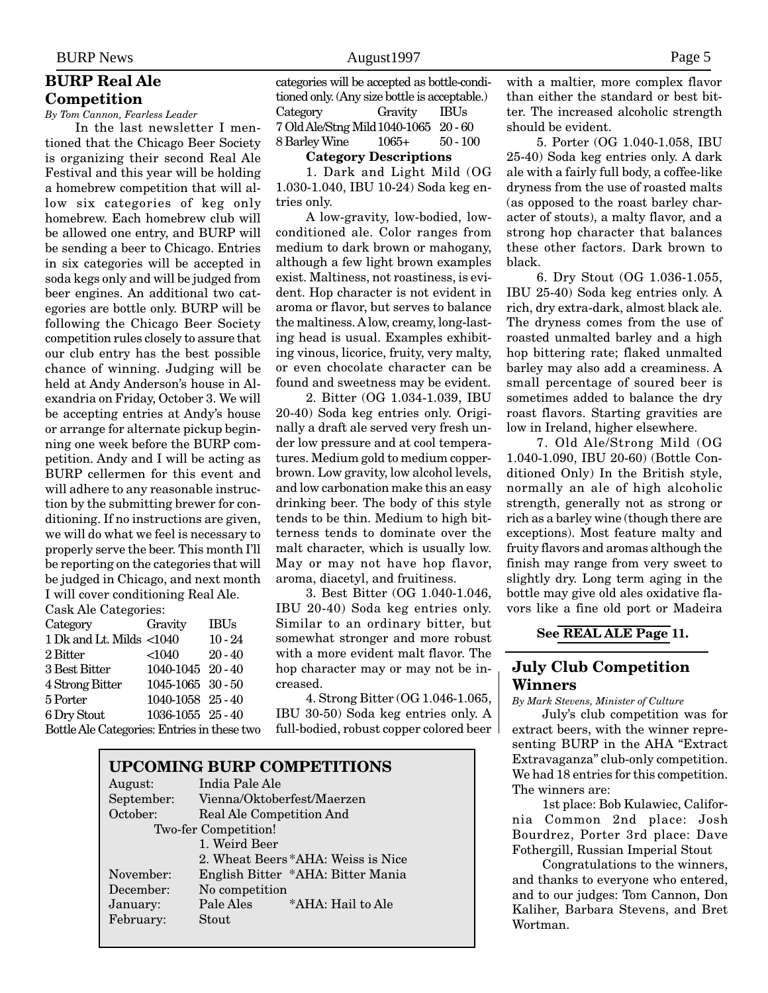# **BURP Real Ale Competition**

*By Tom Cannon, Fearless Leader*

In the last newsletter I mentioned that the Chicago Beer Society is organizing their second Real Ale Festival and this year will be holding a homebrew competition that will allow six categories of keg only homebrew. Each homebrew club will be allowed one entry, and BURP will be sending a beer to Chicago. Entries in six categories will be accepted in soda kegs only and will be judged from beer engines. An additional two categories are bottle only. BURP will be following the Chicago Beer Society competition rules closely to assure that our club entry has the best possible chance of winning. Judging will be held at Andy Anderson's house in Alexandria on Friday, October 3. We will be accepting entries at Andy's house or arrange for alternate pickup beginning one week before the BURP competition. Andy and I will be acting as BURP cellermen for this event and will adhere to any reasonable instruction by the submitting brewer for conditioning. If no instructions are given, we will do what we feel is necessary to properly serve the beer. This month I'll be reporting on the categories that will be judged in Chicago, and next month I will cover conditioning Real Ale. Cask Ale Categories:

| Cash rue Categuries.                        |                   |             |  |
|---------------------------------------------|-------------------|-------------|--|
| Category                                    | Gravity           | <b>IBUs</b> |  |
| 1 Dk and Lt. Milds <1040                    |                   | $10 - 24$   |  |
| 2 Bitter                                    | $<$ 1040          | $20 - 40$   |  |
| 3 Best Bitter                               | 1040-1045 20-40   |             |  |
| 4 Strong Bitter                             | 1045-1065 30-50   |             |  |
| 5 Porter                                    | 1040-1058 25-40   |             |  |
| 6 Dry Stout                                 | 1036-1055 25 - 40 |             |  |
| Bottle Ale Categories: Entries in these two |                   |             |  |

categories will be accepted as bottle-conditioned only. (Any size bottle is acceptable.) Category Gravity IBUs 7 Old Ale/Stng Mild1040-1065 20 - 60 8 Barley Wine 1065+ 50 - 100

#### **Category Descriptions**

1. Dark and Light Mild (OG 1.030-1.040, IBU 10-24) Soda keg entries only.

A low-gravity, low-bodied, lowconditioned ale. Color ranges from medium to dark brown or mahogany, although a few light brown examples exist. Maltiness, not roastiness, is evident. Hop character is not evident in aroma or flavor, but serves to balance the maltiness. A low, creamy, long-lasting head is usual. Examples exhibiting vinous, licorice, fruity, very malty, or even chocolate character can be found and sweetness may be evident.

2. Bitter (OG 1.034-1.039, IBU 20-40) Soda keg entries only. Originally a draft ale served very fresh under low pressure and at cool temperatures. Medium gold to medium copperbrown. Low gravity, low alcohol levels, and low carbonation make this an easy drinking beer. The body of this style tends to be thin. Medium to high bitterness tends to dominate over the malt character, which is usually low. May or may not have hop flavor, aroma, diacetyl, and fruitiness.

3. Best Bitter (OG 1.040-1.046, IBU 20-40) Soda keg entries only. Similar to an ordinary bitter, but somewhat stronger and more robust with a more evident malt flavor. The hop character may or may not be increased.

4. Strong Bitter (OG 1.046-1.065, IBU 30-50) Soda keg entries only. A full-bodied, robust copper colored beer

| <b>UPCOMING BURP COMPETITIONS</b> |                                    |  |  |
|-----------------------------------|------------------------------------|--|--|
| August:                           | India Pale Ale                     |  |  |
| September:                        | Vienna/Oktoberfest/Maerzen         |  |  |
| October:                          | Real Ale Competition And           |  |  |
| Two-fer Competition!              |                                    |  |  |
|                                   | 1. Weird Beer                      |  |  |
|                                   | 2. Wheat Beers *AHA: Weiss is Nice |  |  |
| November:                         | English Bitter *AHA: Bitter Mania  |  |  |
| December:                         | No competition                     |  |  |
| January:                          | Pale Ales<br>*AHA: Hail to Ale     |  |  |
| February:                         | Stout                              |  |  |
|                                   |                                    |  |  |

with a maltier, more complex flavor than either the standard or best bitter. The increased alcoholic strength should be evident.

5. Porter (OG 1.040-1.058, IBU 25-40) Soda keg entries only. A dark ale with a fairly full body, a coffee-like dryness from the use of roasted malts (as opposed to the roast barley character of stouts), a malty flavor, and a strong hop character that balances these other factors. Dark brown to black.

6. Dry Stout (OG 1.036-1.055, IBU 25-40) Soda keg entries only. A rich, dry extra-dark, almost black ale. The dryness comes from the use of roasted unmalted barley and a high hop bittering rate; flaked unmalted barley may also add a creaminess. A small percentage of soured beer is sometimes added to balance the dry roast flavors. Starting gravities are low in Ireland, higher elsewhere.

7. Old Ale/Strong Mild (OG 1.040-1.090, IBU 20-60) (Bottle Conditioned Only) In the British style, normally an ale of high alcoholic strength, generally not as strong or rich as a barley wine (though there are exceptions). Most feature malty and fruity flavors and aromas although the finish may range from very sweet to slightly dry. Long term aging in the bottle may give old ales oxidative flavors like a fine old port or Madeira

#### **See REAL ALE Page 11.**

# **July Club Competition Winners**

*By Mark Stevens, Minister of Culture*

July's club competition was for extract beers, with the winner representing BURP in the AHA "Extract Extravaganza" club-only competition. We had 18 entries for this competition. The winners are:

1st place: Bob Kulawiec, California Common 2nd place: Josh Bourdrez, Porter 3rd place: Dave Fothergill, Russian Imperial Stout

Congratulations to the winners, and thanks to everyone who entered, and to our judges: Tom Cannon, Don Kaliher, Barbara Stevens, and Bret Wortman.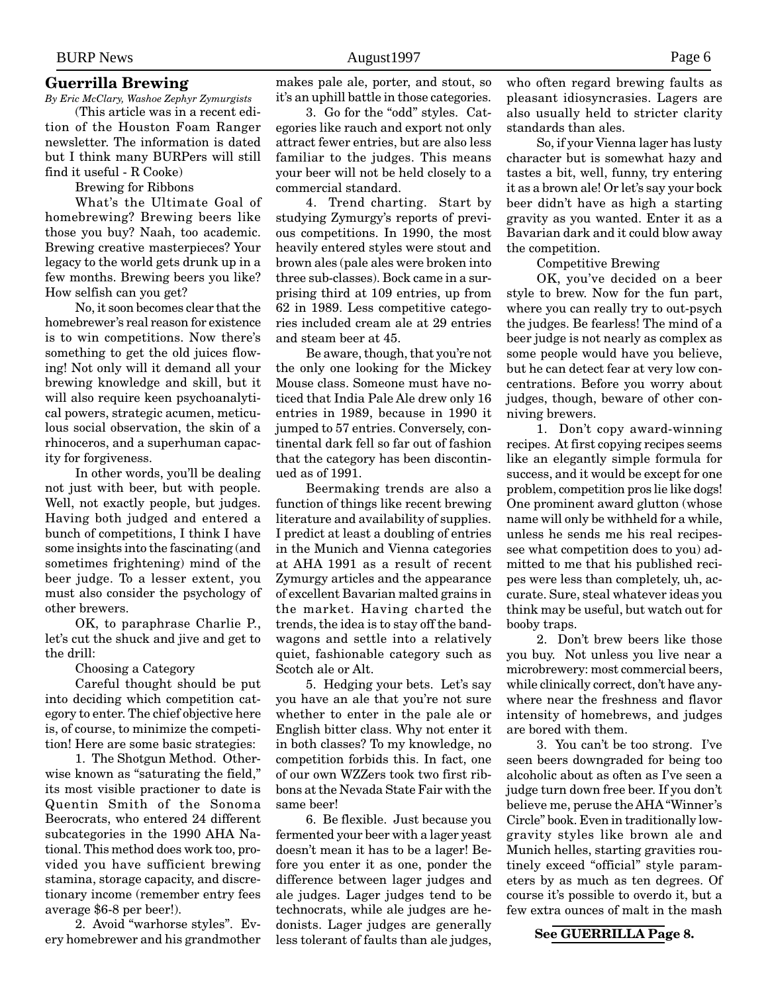#### **Guerrilla Brewing**

*By Eric McClary, Washoe Zephyr Zymurgists*

(This article was in a recent edition of the Houston Foam Ranger newsletter. The information is dated but I think many BURPers will still find it useful - R Cooke)

Brewing for Ribbons

What's the Ultimate Goal of homebrewing? Brewing beers like those you buy? Naah, too academic. Brewing creative masterpieces? Your legacy to the world gets drunk up in a few months. Brewing beers you like? How selfish can you get?

No, it soon becomes clear that the homebrewer's real reason for existence is to win competitions. Now there's something to get the old juices flowing! Not only will it demand all your brewing knowledge and skill, but it will also require keen psychoanalytical powers, strategic acumen, meticulous social observation, the skin of a rhinoceros, and a superhuman capacity for forgiveness.

In other words, you'll be dealing not just with beer, but with people. Well, not exactly people, but judges. Having both judged and entered a bunch of competitions, I think I have some insights into the fascinating (and sometimes frightening) mind of the beer judge. To a lesser extent, you must also consider the psychology of other brewers.

OK, to paraphrase Charlie P., let's cut the shuck and jive and get to the drill:

Choosing a Category

Careful thought should be put into deciding which competition category to enter. The chief objective here is, of course, to minimize the competition! Here are some basic strategies:

1. The Shotgun Method. Otherwise known as "saturating the field," its most visible practioner to date is Quentin Smith of the Sonoma Beerocrats, who entered 24 different subcategories in the 1990 AHA National. This method does work too, provided you have sufficient brewing stamina, storage capacity, and discretionary income (remember entry fees average \$6-8 per beer!).

2. Avoid "warhorse styles". Every homebrewer and his grandmother makes pale ale, porter, and stout, so it's an uphill battle in those categories.

3. Go for the "odd" styles. Categories like rauch and export not only attract fewer entries, but are also less familiar to the judges. This means your beer will not be held closely to a commercial standard.

4. Trend charting. Start by studying Zymurgy's reports of previous competitions. In 1990, the most heavily entered styles were stout and brown ales (pale ales were broken into three sub-classes). Bock came in a surprising third at 109 entries, up from 62 in 1989. Less competitive categories included cream ale at 29 entries and steam beer at 45.

Be aware, though, that you're not the only one looking for the Mickey Mouse class. Someone must have noticed that India Pale Ale drew only 16 entries in 1989, because in 1990 it jumped to 57 entries. Conversely, continental dark fell so far out of fashion that the category has been discontinued as of 1991.

Beermaking trends are also a function of things like recent brewing literature and availability of supplies. I predict at least a doubling of entries in the Munich and Vienna categories at AHA 1991 as a result of recent Zymurgy articles and the appearance of excellent Bavarian malted grains in the market. Having charted the trends, the idea is to stay off the bandwagons and settle into a relatively quiet, fashionable category such as Scotch ale or Alt.

5. Hedging your bets. Let's say you have an ale that you're not sure whether to enter in the pale ale or English bitter class. Why not enter it in both classes? To my knowledge, no competition forbids this. In fact, one of our own WZZers took two first ribbons at the Nevada State Fair with the same beer!

6. Be flexible. Just because you fermented your beer with a lager yeast doesn't mean it has to be a lager! Before you enter it as one, ponder the difference between lager judges and ale judges. Lager judges tend to be technocrats, while ale judges are hedonists. Lager judges are generally less tolerant of faults than ale judges,

who often regard brewing faults as pleasant idiosyncrasies. Lagers are also usually held to stricter clarity standards than ales.

So, if your Vienna lager has lusty character but is somewhat hazy and tastes a bit, well, funny, try entering it as a brown ale! Or let's say your bock beer didn't have as high a starting gravity as you wanted. Enter it as a Bavarian dark and it could blow away the competition.

Competitive Brewing

OK, you've decided on a beer style to brew. Now for the fun part, where you can really try to out-psych the judges. Be fearless! The mind of a beer judge is not nearly as complex as some people would have you believe, but he can detect fear at very low concentrations. Before you worry about judges, though, beware of other conniving brewers.

1. Don't copy award-winning recipes. At first copying recipes seems like an elegantly simple formula for success, and it would be except for one problem, competition pros lie like dogs! One prominent award glutton (whose name will only be withheld for a while, unless he sends me his real recipessee what competition does to you) admitted to me that his published recipes were less than completely, uh, accurate. Sure, steal whatever ideas you think may be useful, but watch out for booby traps.

2. Don't brew beers like those you buy. Not unless you live near a microbrewery: most commercial beers, while clinically correct, don't have anywhere near the freshness and flavor intensity of homebrews, and judges are bored with them.

3. You can't be too strong. I've seen beers downgraded for being too alcoholic about as often as I've seen a judge turn down free beer. If you don't believe me, peruse the AHA "Winner's Circle" book. Even in traditionally lowgravity styles like brown ale and Munich helles, starting gravities routinely exceed "official" style parameters by as much as ten degrees. Of course it's possible to overdo it, but a few extra ounces of malt in the mash

#### **See GUERRILLA Page 8.**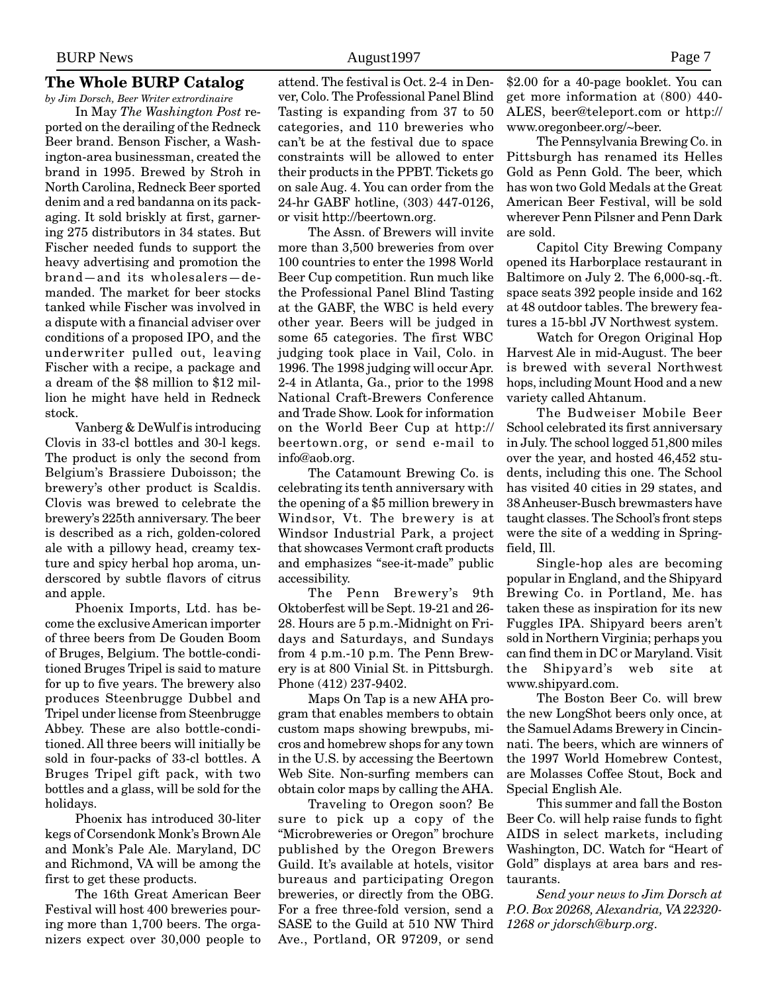# **The Whole BURP Catalog**

*by Jim Dorsch, Beer Writer extrordinaire* In May *The Washington Post* reported on the derailing of the Redneck Beer brand. Benson Fischer, a Washington-area businessman, created the brand in 1995. Brewed by Stroh in North Carolina, Redneck Beer sported denim and a red bandanna on its packaging. It sold briskly at first, garnering 275 distributors in 34 states. But Fischer needed funds to support the heavy advertising and promotion the brand—and its wholesalers—demanded. The market for beer stocks tanked while Fischer was involved in a dispute with a financial adviser over conditions of a proposed IPO, and the underwriter pulled out, leaving Fischer with a recipe, a package and a dream of the \$8 million to \$12 million he might have held in Redneck stock.

Vanberg & DeWulf is introducing Clovis in 33-cl bottles and 30-l kegs. The product is only the second from Belgium's Brassiere Duboisson; the brewery's other product is Scaldis. Clovis was brewed to celebrate the brewery's 225th anniversary. The beer is described as a rich, golden-colored ale with a pillowy head, creamy texture and spicy herbal hop aroma, underscored by subtle flavors of citrus and apple.

Phoenix Imports, Ltd. has become the exclusive American importer of three beers from De Gouden Boom of Bruges, Belgium. The bottle-conditioned Bruges Tripel is said to mature for up to five years. The brewery also produces Steenbrugge Dubbel and Tripel under license from Steenbrugge Abbey. These are also bottle-conditioned. All three beers will initially be sold in four-packs of 33-cl bottles. A Bruges Tripel gift pack, with two bottles and a glass, will be sold for the holidays.

Phoenix has introduced 30-liter kegs of Corsendonk Monk's Brown Ale and Monk's Pale Ale. Maryland, DC and Richmond, VA will be among the first to get these products.

The 16th Great American Beer Festival will host 400 breweries pouring more than 1,700 beers. The organizers expect over 30,000 people to

attend. The festival is Oct. 2-4 in Denver, Colo. The Professional Panel Blind Tasting is expanding from 37 to 50 categories, and 110 breweries who can't be at the festival due to space constraints will be allowed to enter their products in the PPBT. Tickets go on sale Aug. 4. You can order from the 24-hr GABF hotline, (303) 447-0126, or visit http://beertown.org.

The Assn. of Brewers will invite more than 3,500 breweries from over 100 countries to enter the 1998 World Beer Cup competition. Run much like the Professional Panel Blind Tasting at the GABF, the WBC is held every other year. Beers will be judged in some 65 categories. The first WBC judging took place in Vail, Colo. in 1996. The 1998 judging will occur Apr. 2-4 in Atlanta, Ga., prior to the 1998 National Craft-Brewers Conference and Trade Show. Look for information on the World Beer Cup at http:// beertown.org, or send e-mail to info@aob.org.

The Catamount Brewing Co. is celebrating its tenth anniversary with the opening of a \$5 million brewery in Windsor, Vt. The brewery is at Windsor Industrial Park, a project that showcases Vermont craft products and emphasizes "see-it-made" public accessibility.

The Penn Brewery's 9th Oktoberfest will be Sept. 19-21 and 26- 28. Hours are 5 p.m.-Midnight on Fridays and Saturdays, and Sundays from 4 p.m.-10 p.m. The Penn Brewery is at 800 Vinial St. in Pittsburgh. Phone (412) 237-9402.

Maps On Tap is a new AHA program that enables members to obtain custom maps showing brewpubs, micros and homebrew shops for any town in the U.S. by accessing the Beertown Web Site. Non-surfing members can obtain color maps by calling the AHA.

Traveling to Oregon soon? Be sure to pick up a copy of the "Microbreweries or Oregon" brochure published by the Oregon Brewers Guild. It's available at hotels, visitor bureaus and participating Oregon breweries, or directly from the OBG. For a free three-fold version, send a SASE to the Guild at 510 NW Third Ave., Portland, OR 97209, or send

\$2.00 for a 40-page booklet. You can get more information at (800) 440- ALES, beer@teleport.com or http:// www.oregonbeer.org/~beer.

The Pennsylvania Brewing Co. in Pittsburgh has renamed its Helles Gold as Penn Gold. The beer, which has won two Gold Medals at the Great American Beer Festival, will be sold wherever Penn Pilsner and Penn Dark are sold.

Capitol City Brewing Company opened its Harborplace restaurant in Baltimore on July 2. The 6,000-sq.-ft. space seats 392 people inside and 162 at 48 outdoor tables. The brewery features a 15-bbl JV Northwest system.

Watch for Oregon Original Hop Harvest Ale in mid-August. The beer is brewed with several Northwest hops, including Mount Hood and a new variety called Ahtanum.

The Budweiser Mobile Beer School celebrated its first anniversary in July. The school logged 51,800 miles over the year, and hosted 46,452 students, including this one. The School has visited 40 cities in 29 states, and 38 Anheuser-Busch brewmasters have taught classes. The School's front steps were the site of a wedding in Springfield, Ill.

Single-hop ales are becoming popular in England, and the Shipyard Brewing Co. in Portland, Me. has taken these as inspiration for its new Fuggles IPA. Shipyard beers aren't sold in Northern Virginia; perhaps you can find them in DC or Maryland. Visit the Shipyard's web site at www.shipyard.com.

The Boston Beer Co. will brew the new LongShot beers only once, at the Samuel Adams Brewery in Cincinnati. The beers, which are winners of the 1997 World Homebrew Contest, are Molasses Coffee Stout, Bock and Special English Ale.

This summer and fall the Boston Beer Co. will help raise funds to fight AIDS in select markets, including Washington, DC. Watch for "Heart of Gold" displays at area bars and restaurants.

*Send your news to Jim Dorsch at P.O. Box 20268, Alexandria, VA 22320- 1268 or jdorsch@burp.org.*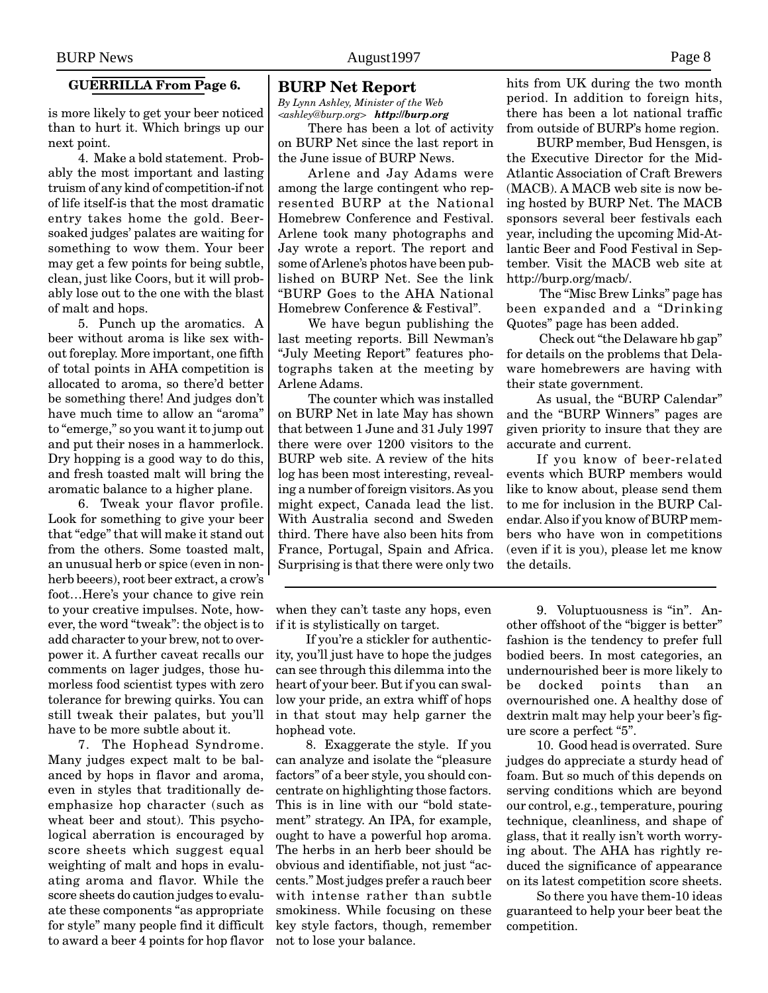#### **GUERRILLA From Page 6.**

is more likely to get your beer noticed than to hurt it. Which brings up our next point.

4. Make a bold statement. Probably the most important and lasting truism of any kind of competition-if not of life itself-is that the most dramatic entry takes home the gold. Beersoaked judges' palates are waiting for something to wow them. Your beer may get a few points for being subtle, clean, just like Coors, but it will probably lose out to the one with the blast of malt and hops.

5. Punch up the aromatics. A beer without aroma is like sex without foreplay. More important, one fifth of total points in AHA competition is allocated to aroma, so there'd better be something there! And judges don't have much time to allow an "aroma" to "emerge," so you want it to jump out and put their noses in a hammerlock. Dry hopping is a good way to do this, and fresh toasted malt will bring the aromatic balance to a higher plane.

6. Tweak your flavor profile. Look for something to give your beer that "edge" that will make it stand out from the others. Some toasted malt, an unusual herb or spice (even in nonherb beeers), root beer extract, a crow's foot…Here's your chance to give rein to your creative impulses. Note, however, the word "tweak": the object is to add character to your brew, not to overpower it. A further caveat recalls our comments on lager judges, those humorless food scientist types with zero tolerance for brewing quirks. You can still tweak their palates, but you'll have to be more subtle about it.

7. The Hophead Syndrome. Many judges expect malt to be balanced by hops in flavor and aroma, even in styles that traditionally deemphasize hop character (such as wheat beer and stout). This psychological aberration is encouraged by score sheets which suggest equal weighting of malt and hops in evaluating aroma and flavor. While the score sheets do caution judges to evaluate these components "as appropriate for style" many people find it difficult to award a beer 4 points for hop flavor

#### **BURP Net Report**

*By Lynn Ashley, Minister of the Web <ashley@burp.org> http://burp.org*

There has been a lot of activity on BURP Net since the last report in the June issue of BURP News.

Arlene and Jay Adams were among the large contingent who represented BURP at the National Homebrew Conference and Festival. Arlene took many photographs and Jay wrote a report. The report and some of Arlene's photos have been published on BURP Net. See the link "BURP Goes to the AHA National Homebrew Conference & Festival".

We have begun publishing the last meeting reports. Bill Newman's "July Meeting Report" features photographs taken at the meeting by Arlene Adams.

The counter which was installed on BURP Net in late May has shown that between 1 June and 31 July 1997 there were over 1200 visitors to the BURP web site. A review of the hits log has been most interesting, revealing a number of foreign visitors. As you might expect, Canada lead the list. With Australia second and Sweden third. There have also been hits from France, Portugal, Spain and Africa. Surprising is that there were only two

if it is stylistically on target. If you're a stickler for authentic-

when they can't taste any hops, even

ity, you'll just have to hope the judges can see through this dilemma into the heart of your beer. But if you can swallow your pride, an extra whiff of hops in that stout may help garner the hophead vote.

8. Exaggerate the style. If you can analyze and isolate the "pleasure factors" of a beer style, you should concentrate on highlighting those factors. This is in line with our "bold statement" strategy. An IPA, for example, ought to have a powerful hop aroma. The herbs in an herb beer should be obvious and identifiable, not just "accents." Most judges prefer a rauch beer with intense rather than subtle smokiness. While focusing on these key style factors, though, remember not to lose your balance.

hits from UK during the two month period. In addition to foreign hits, there has been a lot national traffic from outside of BURP's home region.

BURP member, Bud Hensgen, is the Executive Director for the Mid-Atlantic Association of Craft Brewers (MACB). A MACB web site is now being hosted by BURP Net. The MACB sponsors several beer festivals each year, including the upcoming Mid-Atlantic Beer and Food Festival in September. Visit the MACB web site at http://burp.org/macb/.

 The "Misc Brew Links" page has been expanded and a "Drinking Quotes" page has been added.

 Check out "the Delaware hb gap" for details on the problems that Delaware homebrewers are having with their state government.

As usual, the "BURP Calendar" and the "BURP Winners" pages are given priority to insure that they are accurate and current.

If you know of beer-related events which BURP members would like to know about, please send them to me for inclusion in the BURP Calendar. Also if you know of BURP members who have won in competitions (even if it is you), please let me know the details.

9. Voluptuousness is "in". Another offshoot of the "bigger is better" fashion is the tendency to prefer full bodied beers. In most categories, an undernourished beer is more likely to be docked points than an overnourished one. A healthy dose of dextrin malt may help your beer's figure score a perfect "5".

10. Good head is overrated. Sure judges do appreciate a sturdy head of foam. But so much of this depends on serving conditions which are beyond our control, e.g., temperature, pouring technique, cleanliness, and shape of glass, that it really isn't worth worrying about. The AHA has rightly reduced the significance of appearance on its latest competition score sheets.

So there you have them-10 ideas guaranteed to help your beer beat the competition.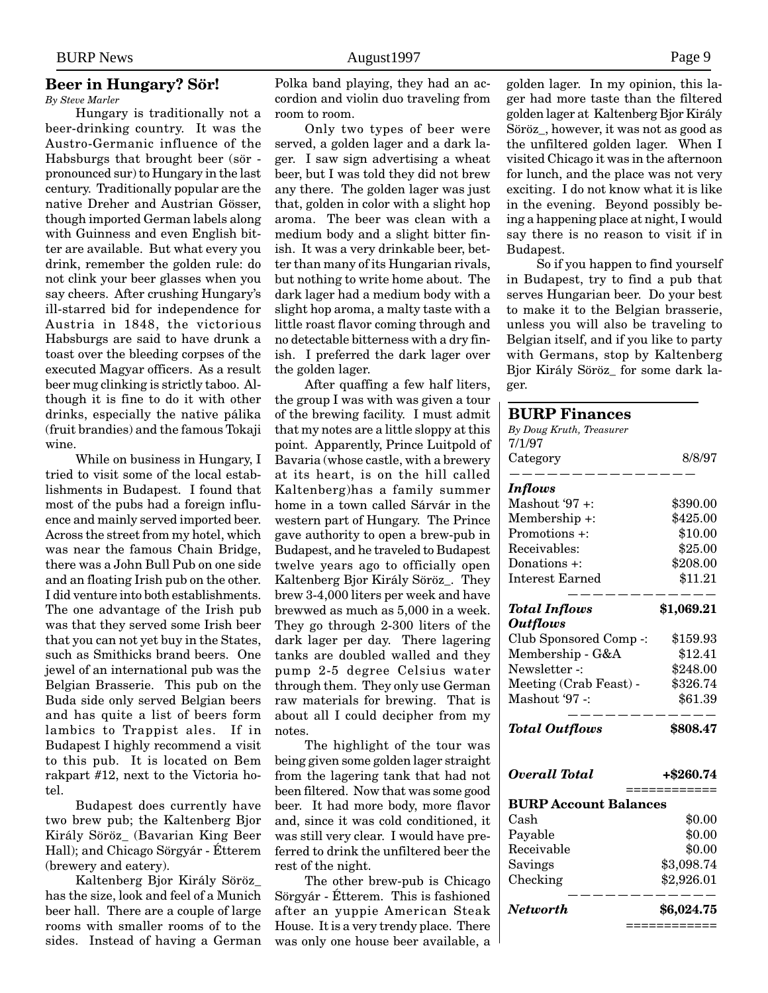# **Beer in Hungary? Sör!**

*By Steve Marler*

Hungary is traditionally not a beer-drinking country. It was the Austro-Germanic influence of the Habsburgs that brought beer (sör pronounced sur) to Hungary in the last century. Traditionally popular are the native Dreher and Austrian Gösser, though imported German labels along with Guinness and even English bitter are available. But what every you drink, remember the golden rule: do not clink your beer glasses when you say cheers. After crushing Hungary's ill-starred bid for independence for Austria in 1848, the victorious Habsburgs are said to have drunk a toast over the bleeding corpses of the executed Magyar officers. As a result beer mug clinking is strictly taboo. Although it is fine to do it with other drinks, especially the native pálika (fruit brandies) and the famous Tokaji wine.

While on business in Hungary, I tried to visit some of the local establishments in Budapest. I found that most of the pubs had a foreign influence and mainly served imported beer. Across the street from my hotel, which was near the famous Chain Bridge, there was a John Bull Pub on one side and an floating Irish pub on the other. I did venture into both establishments. The one advantage of the Irish pub was that they served some Irish beer that you can not yet buy in the States, such as Smithicks brand beers. One jewel of an international pub was the Belgian Brasserie. This pub on the Buda side only served Belgian beers and has quite a list of beers form lambics to Trappist ales. If in Budapest I highly recommend a visit to this pub. It is located on Bem rakpart #12, next to the Victoria hotel.

Budapest does currently have two brew pub; the Kaltenberg Bjor Király Söröz\_ (Bavarian King Beer Hall); and Chicago Sörgyár - Étterem (brewery and eatery).

Kaltenberg Bjor Király Söröz\_ has the size, look and feel of a Munich beer hall. There are a couple of large rooms with smaller rooms of to the sides. Instead of having a German Polka band playing, they had an accordion and violin duo traveling from room to room.

Only two types of beer were served, a golden lager and a dark lager. I saw sign advertising a wheat beer, but I was told they did not brew any there. The golden lager was just that, golden in color with a slight hop aroma. The beer was clean with a medium body and a slight bitter finish. It was a very drinkable beer, better than many of its Hungarian rivals, but nothing to write home about. The dark lager had a medium body with a slight hop aroma, a malty taste with a little roast flavor coming through and no detectable bitterness with a dry finish. I preferred the dark lager over the golden lager.

After quaffing a few half liters, the group I was with was given a tour of the brewing facility. I must admit that my notes are a little sloppy at this point. Apparently, Prince Luitpold of Bavaria (whose castle, with a brewery at its heart, is on the hill called Kaltenberg)has a family summer home in a town called Sárvár in the western part of Hungary. The Prince gave authority to open a brew-pub in Budapest, and he traveled to Budapest twelve years ago to officially open Kaltenberg Bjor Király Söröz\_. They brew 3-4,000 liters per week and have brewwed as much as 5,000 in a week. They go through 2-300 liters of the dark lager per day. There lagering tanks are doubled walled and they pump 2-5 degree Celsius water through them. They only use German raw materials for brewing. That is about all I could decipher from my notes.

The highlight of the tour was being given some golden lager straight from the lagering tank that had not been filtered. Now that was some good beer. It had more body, more flavor and, since it was cold conditioned, it was still very clear. I would have preferred to drink the unfiltered beer the rest of the night.

The other brew-pub is Chicago Sörgyár - Étterem. This is fashioned after an yuppie American Steak House. It is a very trendy place. There was only one house beer available, a golden lager. In my opinion, this lager had more taste than the filtered golden lager at Kaltenberg Bjor Király Söröz\_, however, it was not as good as the unfiltered golden lager. When I visited Chicago it was in the afternoon for lunch, and the place was not very exciting. I do not know what it is like in the evening. Beyond possibly being a happening place at night, I would say there is no reason to visit if in Budapest.

So if you happen to find yourself in Budapest, try to find a pub that serves Hungarian beer. Do your best to make it to the Belgian brasserie, unless you will also be traveling to Belgian itself, and if you like to party with Germans, stop by Kaltenberg Bjor Király Söröz\_ for some dark lager.

# **BURP Finances** *By Doug Kruth, Treasurer*

| <b>BURP Account Balances</b><br>Cash    | $\$0.00$            |
|-----------------------------------------|---------------------|
| Overall Total                           | +\$260.74           |
| <b>Total Outflows</b>                   | \$808.47            |
| Mashout '97 -:                          | \$61.39             |
| Meeting (Crab Feast) -                  | \$326.74            |
| Newsletter -:                           | \$248.00            |
| Membership - G&A                        | \$12.41             |
| Club Sponsored Comp -:                  | \$159.93            |
| <b>Total Inflows</b><br><b>Outflows</b> | \$1,069.21          |
|                                         |                     |
| Interest Earned                         | \$11.21             |
| Donations +:                            | \$208.00            |
| Receivables:                            | \$25.00             |
| Membership +:<br>Promotions +:          | \$425.00<br>\$10.00 |
| Mashout '97 $+$ :                       | \$390.00            |
| <i>Inflows</i>                          |                     |
| Category                                | 8/8/97              |
| 7/1/97                                  |                     |

| DUIT Account Dalances |            |
|-----------------------|------------|
| Cash                  | \$0.00     |
| Payable               | \$0.00     |
| Receivable            | \$0.00     |
| Savings               | \$3,098.74 |
| Checking              | \$2,926.01 |
| Networth              | \$6,024.75 |
|                       |            |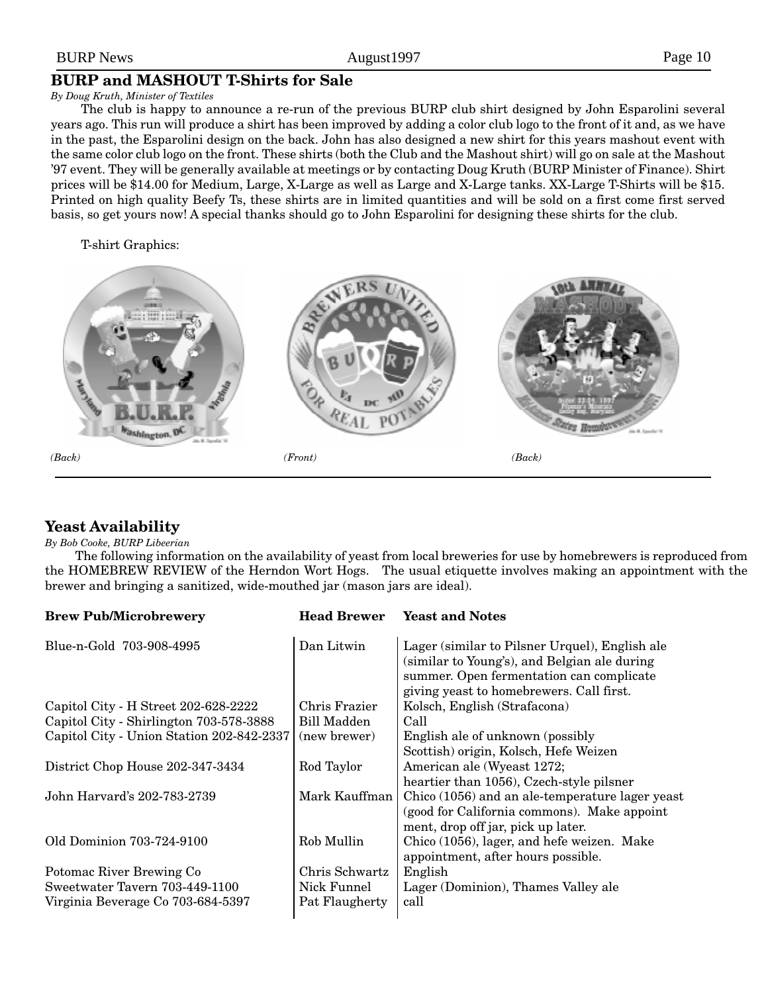### BURP News Page 10

# **BURP and MASHOUT T-Shirts for Sale**

#### *By Doug Kruth, Minister of Textiles*

The club is happy to announce a re-run of the previous BURP club shirt designed by John Esparolini several years ago. This run will produce a shirt has been improved by adding a color club logo to the front of it and, as we have in the past, the Esparolini design on the back. John has also designed a new shirt for this years mashout event with the same color club logo on the front. These shirts (both the Club and the Mashout shirt) will go on sale at the Mashout '97 event. They will be generally available at meetings or by contacting Doug Kruth (BURP Minister of Finance). Shirt prices will be \$14.00 for Medium, Large, X-Large as well as Large and X-Large tanks. XX-Large T-Shirts will be \$15. Printed on high quality Beefy Ts, these shirts are in limited quantities and will be sold on a first come first served basis, so get yours now! A special thanks should go to John Esparolini for designing these shirts for the club.

T-shirt Graphics:



# **Yeast Availability**

#### *By Bob Cooke, BURP Libeerian*

The following information on the availability of yeast from local breweries for use by homebrewers is reproduced from the HOMEBREW REVIEW of the Herndon Wort Hogs. The usual etiquette involves making an appointment with the brewer and bringing a sanitized, wide-mouthed jar (mason jars are ideal).

| <b>Brew Pub/Microbrewery</b>                                        | <b>Head Brewer</b>            | <b>Yeast and Notes</b>                                                                                                                                                                 |
|---------------------------------------------------------------------|-------------------------------|----------------------------------------------------------------------------------------------------------------------------------------------------------------------------------------|
| Blue-n-Gold 703-908-4995                                            | Dan Litwin                    | Lager (similar to Pilsner Urquel), English ale<br>(similar to Young's), and Belgian ale during<br>summer. Open fermentation can complicate<br>giving yeast to homebrewers. Call first. |
| Capitol City - H Street 202-628-2222                                | Chris Frazier                 | Kolsch, English (Strafacona)                                                                                                                                                           |
| Capitol City - Shirlington 703-578-3888                             | Bill Madden                   | Call                                                                                                                                                                                   |
| Capitol City - Union Station 202-842-2337                           | (new brewer)                  | English ale of unknown (possibly<br>Scottish) origin, Kolsch, Hefe Weizen                                                                                                              |
| District Chop House 202-347-3434                                    | Rod Taylor                    | American ale (Wyeast 1272;<br>heartier than 1056), Czech-style pilsner                                                                                                                 |
| John Harvard's 202-783-2739                                         | Mark Kauffman                 | Chico (1056) and an ale-temperature lager yeast<br>(good for California commons). Make appoint<br>ment, drop off jar, pick up later.                                                   |
| Old Dominion 703-724-9100                                           | Rob Mullin                    | Chico (1056), lager, and hefe weizen. Make<br>appointment, after hours possible.                                                                                                       |
| Potomac River Brewing Co                                            | Chris Schwartz                | English                                                                                                                                                                                |
| Sweetwater Tavern 703-449-1100<br>Virginia Beverage Co 703-684-5397 | Nick Funnel<br>Pat Flaugherty | Lager (Dominion), Thames Valley ale<br>call                                                                                                                                            |
|                                                                     |                               |                                                                                                                                                                                        |